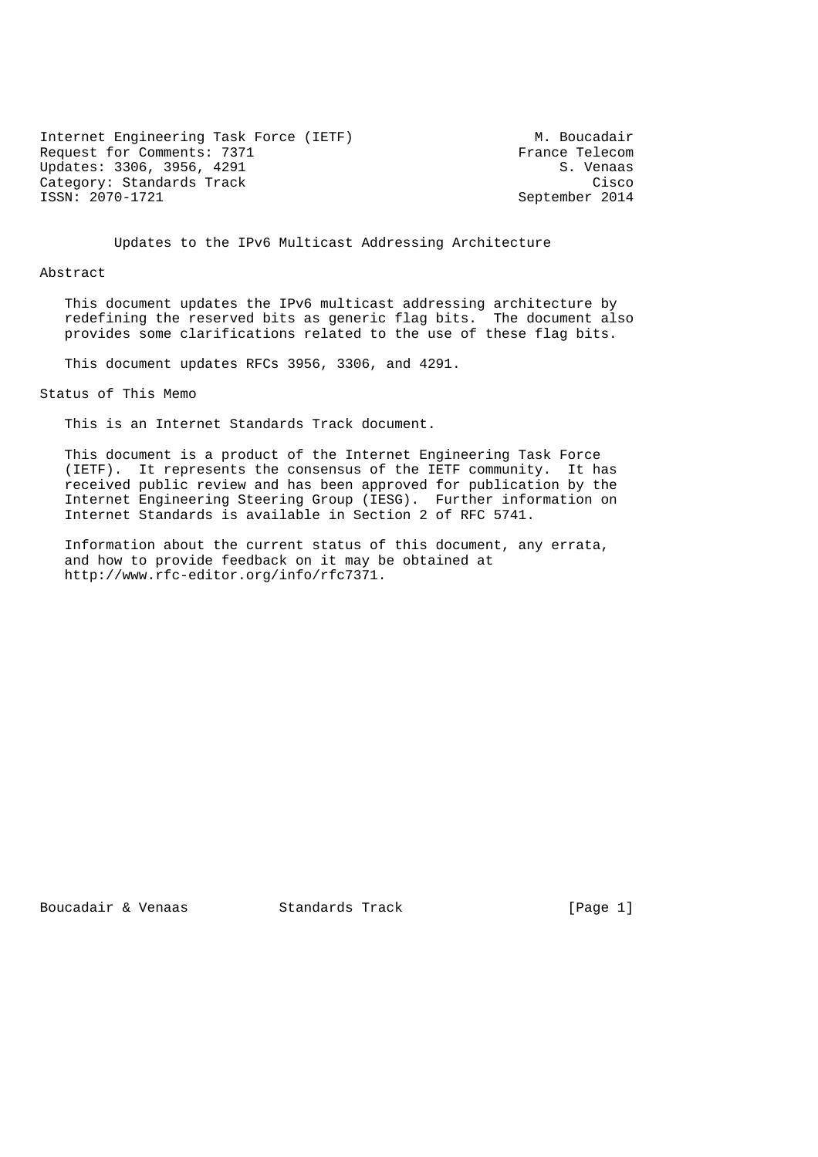Internet Engineering Task Force (IETF) M. Boucadair<br>Request for Comments: 7371 France Telecom Request for Comments: 7371 France Telecom<br>Updates: 3306, 3956, 4291 S. Venaas Updates: 3306, 3956, 4291 Category: Standards Track Cisco (Category: Category: Cisco (Cisco et al. 2014)<br>ISSN: 2070-1721

September 2014

Updates to the IPv6 Multicast Addressing Architecture

Abstract

 This document updates the IPv6 multicast addressing architecture by redefining the reserved bits as generic flag bits. The document also provides some clarifications related to the use of these flag bits.

This document updates RFCs 3956, 3306, and 4291.

Status of This Memo

This is an Internet Standards Track document.

 This document is a product of the Internet Engineering Task Force (IETF). It represents the consensus of the IETF community. It has received public review and has been approved for publication by the Internet Engineering Steering Group (IESG). Further information on Internet Standards is available in Section 2 of RFC 5741.

 Information about the current status of this document, any errata, and how to provide feedback on it may be obtained at http://www.rfc-editor.org/info/rfc7371.

Boucadair & Venaas Standards Track [Page 1]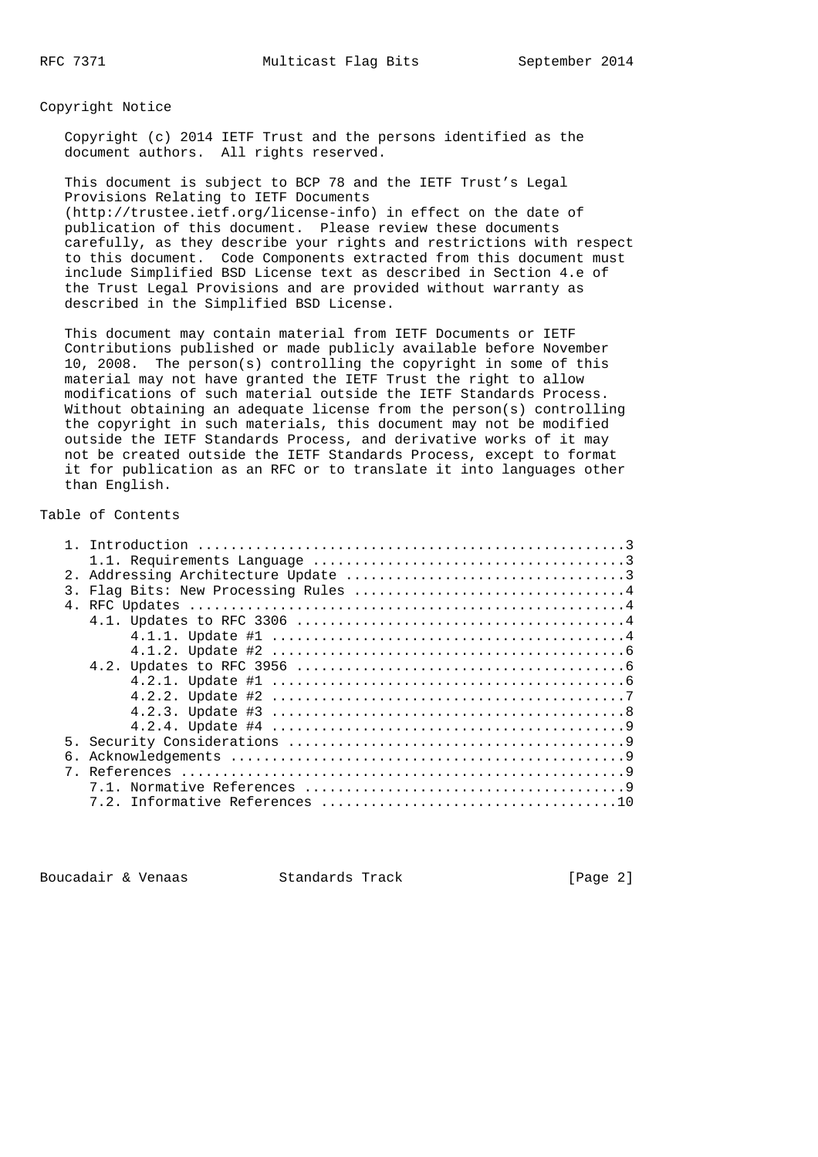Copyright Notice

 Copyright (c) 2014 IETF Trust and the persons identified as the document authors. All rights reserved.

 This document is subject to BCP 78 and the IETF Trust's Legal Provisions Relating to IETF Documents (http://trustee.ietf.org/license-info) in effect on the date of publication of this document. Please review these documents carefully, as they describe your rights and restrictions with respect to this document. Code Components extracted from this document must include Simplified BSD License text as described in Section 4.e of the Trust Legal Provisions and are provided without warranty as described in the Simplified BSD License.

 This document may contain material from IETF Documents or IETF Contributions published or made publicly available before November 10, 2008. The person(s) controlling the copyright in some of this material may not have granted the IETF Trust the right to allow modifications of such material outside the IETF Standards Process. Without obtaining an adequate license from the person(s) controlling the copyright in such materials, this document may not be modified outside the IETF Standards Process, and derivative works of it may not be created outside the IETF Standards Process, except to format it for publication as an RFC or to translate it into languages other than English.

## Table of Contents

| 3. |  |
|----|--|
|    |  |
|    |  |
|    |  |
|    |  |
|    |  |
|    |  |
|    |  |
|    |  |
|    |  |
|    |  |
| б. |  |
|    |  |
|    |  |
|    |  |
|    |  |

Boucadair & Venaas Standards Track [Page 2]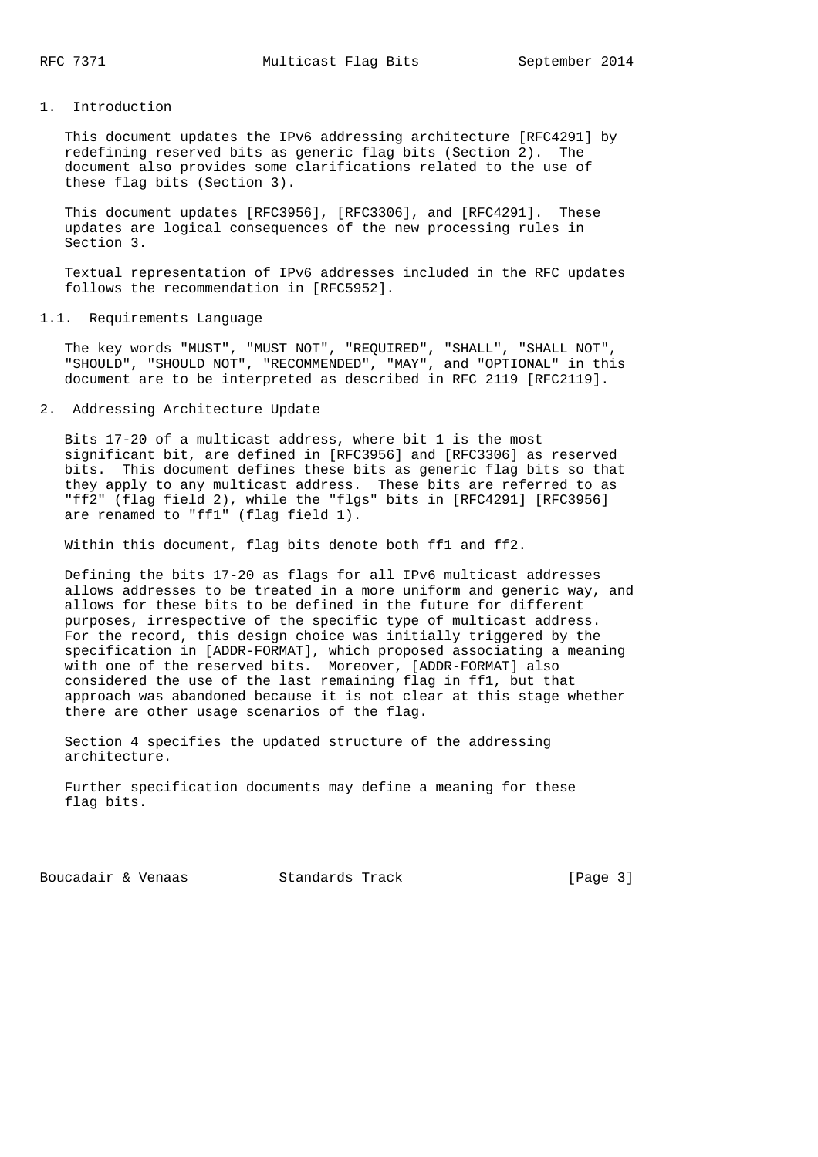### 1. Introduction

 This document updates the IPv6 addressing architecture [RFC4291] by redefining reserved bits as generic flag bits (Section 2). The document also provides some clarifications related to the use of these flag bits (Section 3).

 This document updates [RFC3956], [RFC3306], and [RFC4291]. These updates are logical consequences of the new processing rules in Section 3.

 Textual representation of IPv6 addresses included in the RFC updates follows the recommendation in [RFC5952].

#### 1.1. Requirements Language

 The key words "MUST", "MUST NOT", "REQUIRED", "SHALL", "SHALL NOT", "SHOULD", "SHOULD NOT", "RECOMMENDED", "MAY", and "OPTIONAL" in this document are to be interpreted as described in RFC 2119 [RFC2119].

## 2. Addressing Architecture Update

 Bits 17-20 of a multicast address, where bit 1 is the most significant bit, are defined in [RFC3956] and [RFC3306] as reserved bits. This document defines these bits as generic flag bits so that they apply to any multicast address. These bits are referred to as "ff2" (flag field 2), while the "flgs" bits in [RFC4291] [RFC3956] are renamed to "ff1" (flag field 1).

Within this document, flag bits denote both ff1 and ff2.

 Defining the bits 17-20 as flags for all IPv6 multicast addresses allows addresses to be treated in a more uniform and generic way, and allows for these bits to be defined in the future for different purposes, irrespective of the specific type of multicast address. For the record, this design choice was initially triggered by the specification in [ADDR-FORMAT], which proposed associating a meaning with one of the reserved bits. Moreover, [ADDR-FORMAT] also considered the use of the last remaining flag in ff1, but that approach was abandoned because it is not clear at this stage whether there are other usage scenarios of the flag.

 Section 4 specifies the updated structure of the addressing architecture.

 Further specification documents may define a meaning for these flag bits.

Boucadair & Venaas Standards Track [Page 3]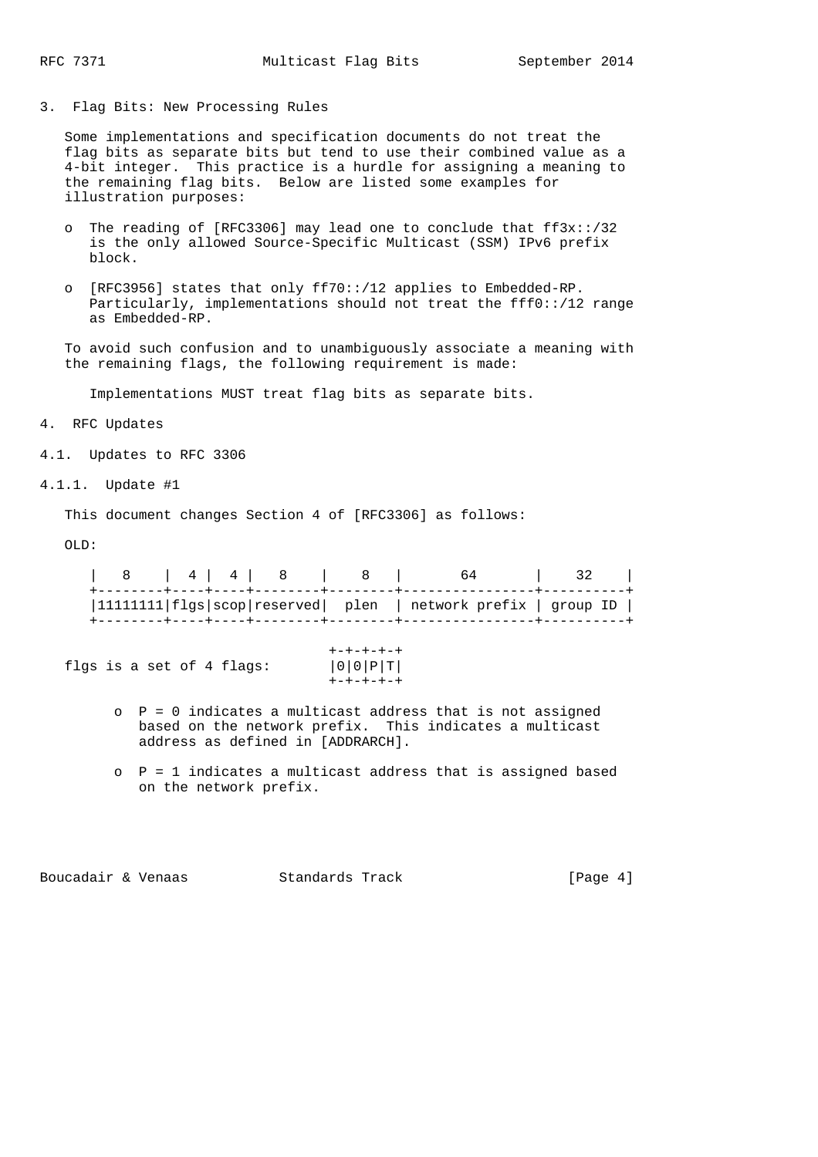3. Flag Bits: New Processing Rules

 Some implementations and specification documents do not treat the flag bits as separate bits but tend to use their combined value as a 4-bit integer. This practice is a hurdle for assigning a meaning to the remaining flag bits. Below are listed some examples for illustration purposes:

- o The reading of [RFC3306] may lead one to conclude that ff3x::/32 is the only allowed Source-Specific Multicast (SSM) IPv6 prefix block.
- o [RFC3956] states that only ff70::/12 applies to Embedded-RP. Particularly, implementations should not treat the fff0::/12 range as Embedded-RP.

 To avoid such confusion and to unambiguously associate a meaning with the remaining flags, the following requirement is made:

Implementations MUST treat flag bits as separate bits.

4. RFC Updates

4.1. Updates to RFC 3306

4.1.1. Update #1

This document changes Section 4 of [RFC3306] as follows:

 $OT.D:$ 

| 8   4   4   8   8 |  |                                                                         |  |
|-------------------|--|-------------------------------------------------------------------------|--|
|                   |  | $ 1111111 $ $ f1gs $ scop   reserved   plen   network prefix   group ID |  |

flgs is a set of 4 flags: +-+-+-+-+

| $+ - + - + - + - +$ |  |
|---------------------|--|
| $ 0 0 P T $         |  |
| キーキーキーキーキ           |  |

- o P = 0 indicates a multicast address that is not assigned based on the network prefix. This indicates a multicast address as defined in [ADDRARCH].
- o P = 1 indicates a multicast address that is assigned based on the network prefix.

Boucadair & Venaas Standards Track [Page 4]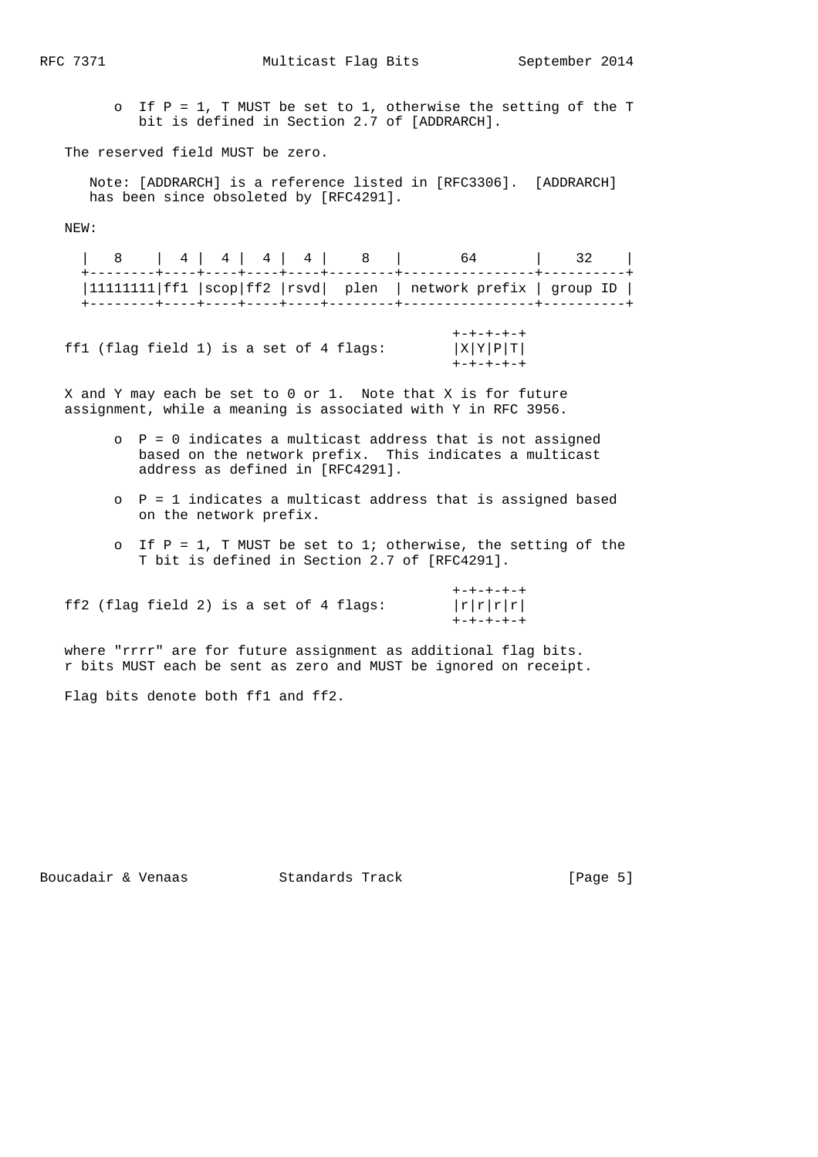o If P = 1, T MUST be set to 1, otherwise the setting of the T bit is defined in Section 2.7 of [ADDRARCH].

The reserved field MUST be zero.

 Note: [ADDRARCH] is a reference listed in [RFC3306]. [ADDRARCH] has been since obsoleted by [RFC4291].

NEW:

|  |  |  |  | 8   4   4   4   8   64   32                                             |  |
|--|--|--|--|-------------------------------------------------------------------------|--|
|  |  |  |  | $ 11111111 $ ff1 $ scop $ ff2 $ rsvd $ plen   network prefix   group ID |  |
|  |  |  |  |                                                                         |  |

 +-+-+-+-+ ff1 (flag field 1) is a set of 4 flags:  $|X|Y|P|T|$ +-+-+-+-+

 X and Y may each be set to 0 or 1. Note that X is for future assignment, while a meaning is associated with Y in RFC 3956.

- $\rho$  P = 0 indicates a multicast address that is not assigned based on the network prefix. This indicates a multicast address as defined in [RFC4291].
- o P = 1 indicates a multicast address that is assigned based on the network prefix.
- o If  $P = 1$ , T MUST be set to 1; otherwise, the setting of the T bit is defined in Section 2.7 of [RFC4291].

 +-+-+-+-+ ff2 (flag field 2) is a set of 4 flags:  $|r|r|r|$  $+ - + - + - + - +$ 

 where "rrrr" are for future assignment as additional flag bits. r bits MUST each be sent as zero and MUST be ignored on receipt.

Flag bits denote both ff1 and ff2.

Boucadair & Venaas Standards Track [Page 5]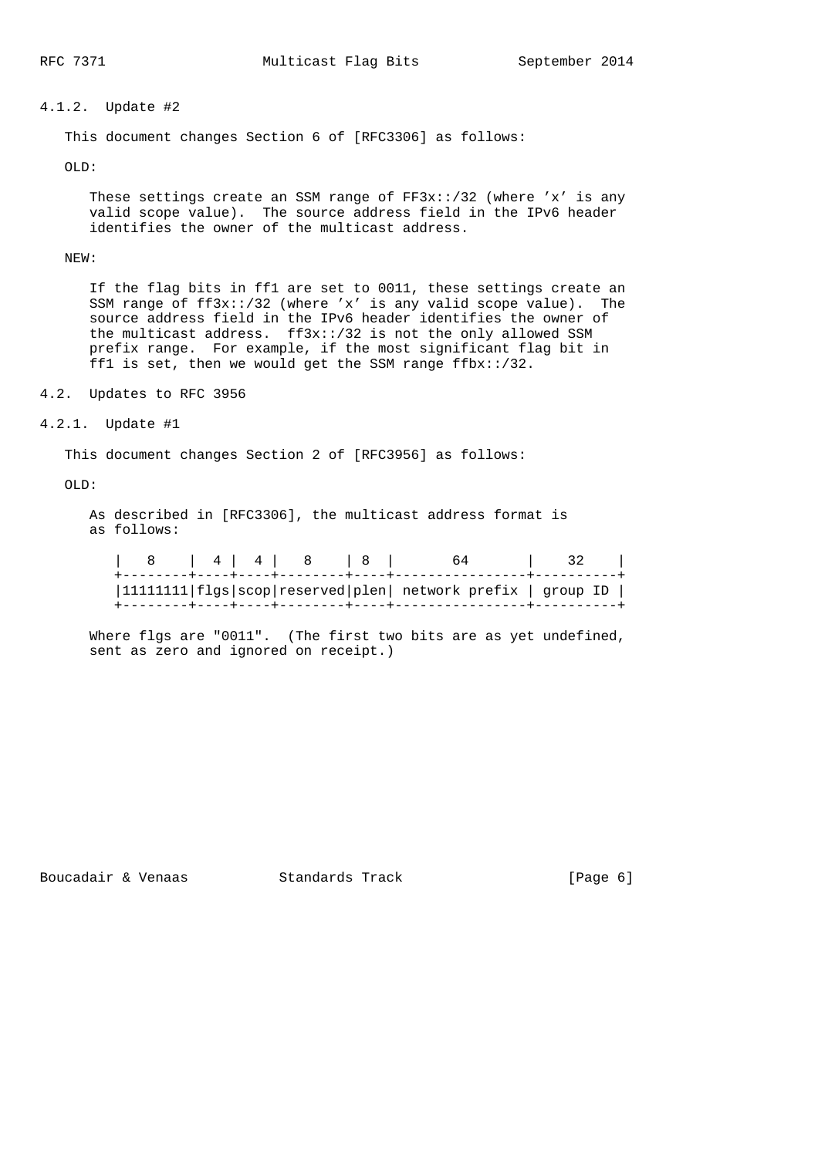# 4.1.2. Update #2

This document changes Section 6 of [RFC3306] as follows:

OLD:

These settings create an SSM range of  $FF3x$ ::/32 (where 'x' is any valid scope value). The source address field in the IPv6 header identifies the owner of the multicast address.

NEW:

 If the flag bits in ff1 are set to 0011, these settings create an SSM range of ff3x::/32 (where 'x' is any valid scope value). The source address field in the IPv6 header identifies the owner of the multicast address. ff3x::/32 is not the only allowed SSM prefix range. For example, if the most significant flag bit in ff1 is set, then we would get the SSM range  $ffbx::/32$ .

4.2. Updates to RFC 3956

4.2.1. Update #1

This document changes Section 2 of [RFC3956] as follows:

OLD:

 As described in [RFC3306], the multicast address format is as follows:

| $ 1111111 $ flgs $ scop reserved plen $ network prefix $ $ group ID $ $ | $\begin{array}{c c c c c c c c} & 4 & 4 & 8 \end{array}$ |  |  |
|-------------------------------------------------------------------------|----------------------------------------------------------|--|--|
|                                                                         |                                                          |  |  |

Where flgs are "0011". (The first two bits are as yet undefined, sent as zero and ignored on receipt.)

Boucadair & Venaas Standards Track [Page 6]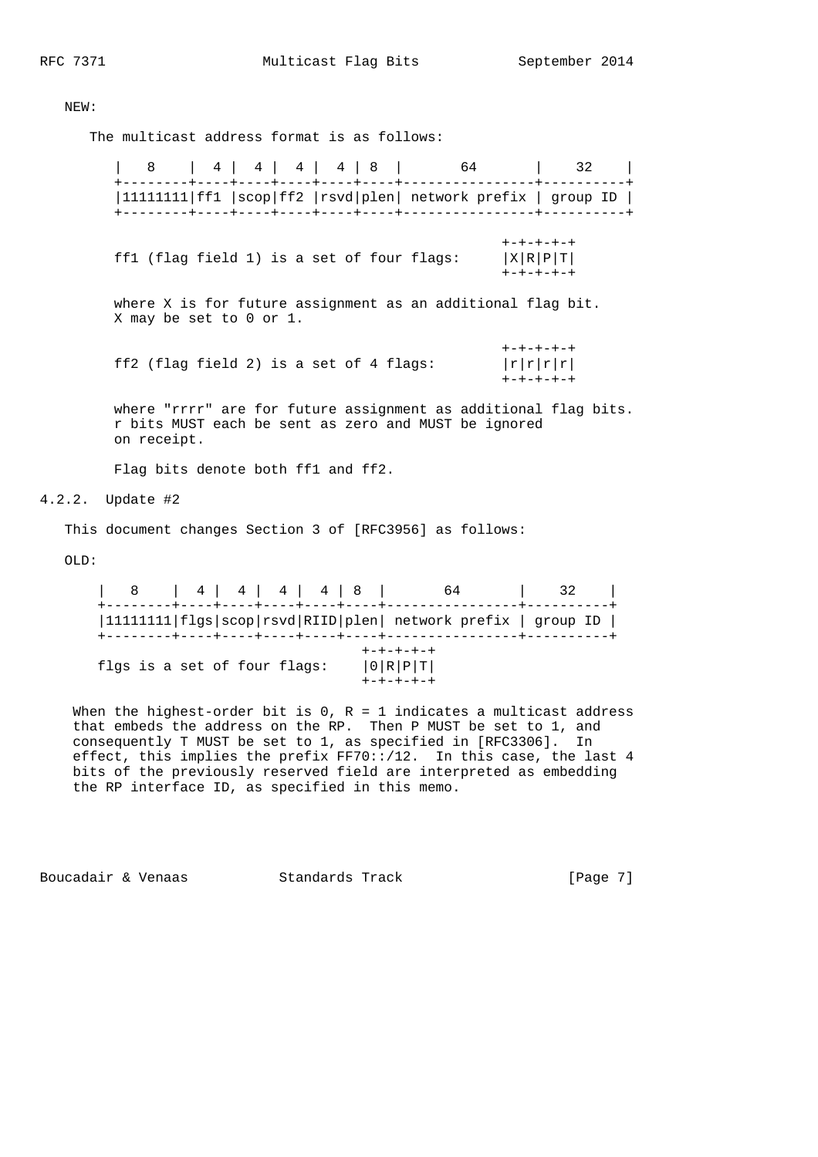NEW:

The multicast address format is as follows:

 | 8 | 4 | 4 | 4 | 4 | 8 | 64 | 32 | +--------+----+----+----+----+----+----------------+----------+ |11111111|ff1 |scop|ff2 |rsvd|plen| network prefix | group ID | +--------+----+----+----+----+----+----------------+----------+ +-+-+-+-+ ff1 (flag field 1) is a set of four flags:  $|X|R|P|T|$  +-+-+-+-+ where X is for future assignment as an additional flag bit. X may be set to 0 or 1. +-+-+-+-+ ff2 (flag field 2) is a set of 4 flags:  $|r|r|r|$  +-+-+-+-+ where "rrrr" are for future assignment as additional flag bits. r bits MUST each be sent as zero and MUST be ignored on receipt. Flag bits denote both ff1 and ff2.

4.2.2. Update #2

This document changes Section 3 of [RFC3956] as follows:

OLD:

| 8 4 4 4 4 4 3                |  |  | 64                                                            | 32 |  |
|------------------------------|--|--|---------------------------------------------------------------|----|--|
|                              |  |  | 11111111  flgs scop rsvd RIID plen  network prefix   group ID |    |  |
| flgs is a set of four flags: |  |  | $+ - + - + - + - +$<br> 0 R P T <br>$+ - + - + - + - +$       |    |  |

When the highest-order bit is  $0$ ,  $R = 1$  indicates a multicast address that embeds the address on the RP. Then P MUST be set to 1, and consequently T MUST be set to 1, as specified in [RFC3306]. In effect, this implies the prefix FF70::/12. In this case, the last 4 bits of the previously reserved field are interpreted as embedding the RP interface ID, as specified in this memo.

Boucadair & Venaas Standards Track [Page 7]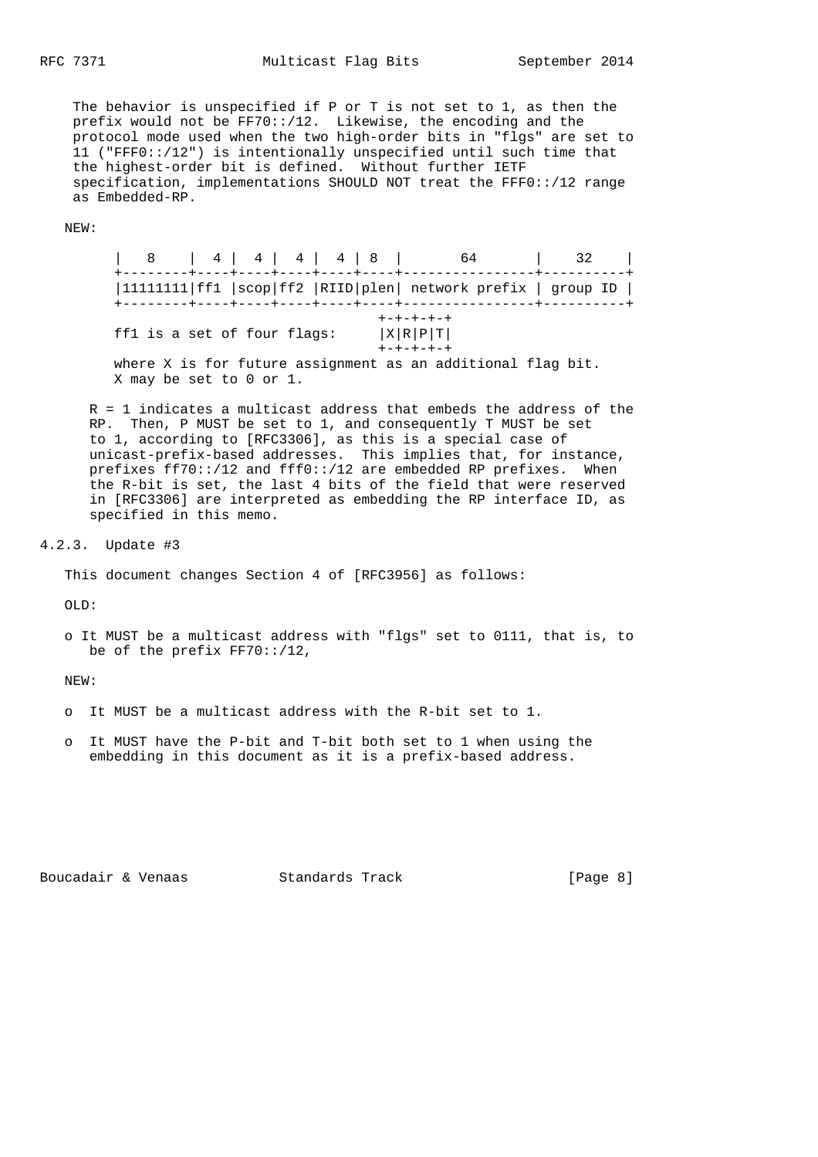The behavior is unspecified if P or T is not set to 1, as then the prefix would not be FF70::/12. Likewise, the encoding and the protocol mode used when the two high-order bits in "flgs" are set to 11 ("FFF0::/12") is intentionally unspecified until such time that the highest-order bit is defined. Without further IETF specification, implementations SHOULD NOT treat the FFF0::/12 range as Embedded-RP.

NEW:

 | 8 | 4 | 4 | 4 | 4 | 8 | 64 | 32 | +--------+----+----+----+----+----+----------------+----------+ |11111111|ff1 |scop|ff2 |RIID|plen| network prefix | group ID | +--------+----+----+----+----+----+----------------+----------+ +-+-+-+-+ ff1 is a set of four flags:  $|X|R|P|T|$  +-+-+-+-+ where X is for future assignment as an additional flag bit. X may be set to 0 or 1.

 R = 1 indicates a multicast address that embeds the address of the RP. Then, P MUST be set to 1, and consequently T MUST be set to 1, according to [RFC3306], as this is a special case of unicast-prefix-based addresses. This implies that, for instance, prefixes ff70::/12 and fff0::/12 are embedded RP prefixes. When the R-bit is set, the last 4 bits of the field that were reserved in [RFC3306] are interpreted as embedding the RP interface ID, as specified in this memo.

#### 4.2.3. Update #3

This document changes Section 4 of [RFC3956] as follows:

 $OT.D.$ 

 o It MUST be a multicast address with "flgs" set to 0111, that is, to be of the prefix  $FF70::/12$ ,

NEW:

- o It MUST be a multicast address with the R-bit set to 1.
- o It MUST have the P-bit and T-bit both set to 1 when using the embedding in this document as it is a prefix-based address.

Boucadair & Venaas Standards Track [Page 8]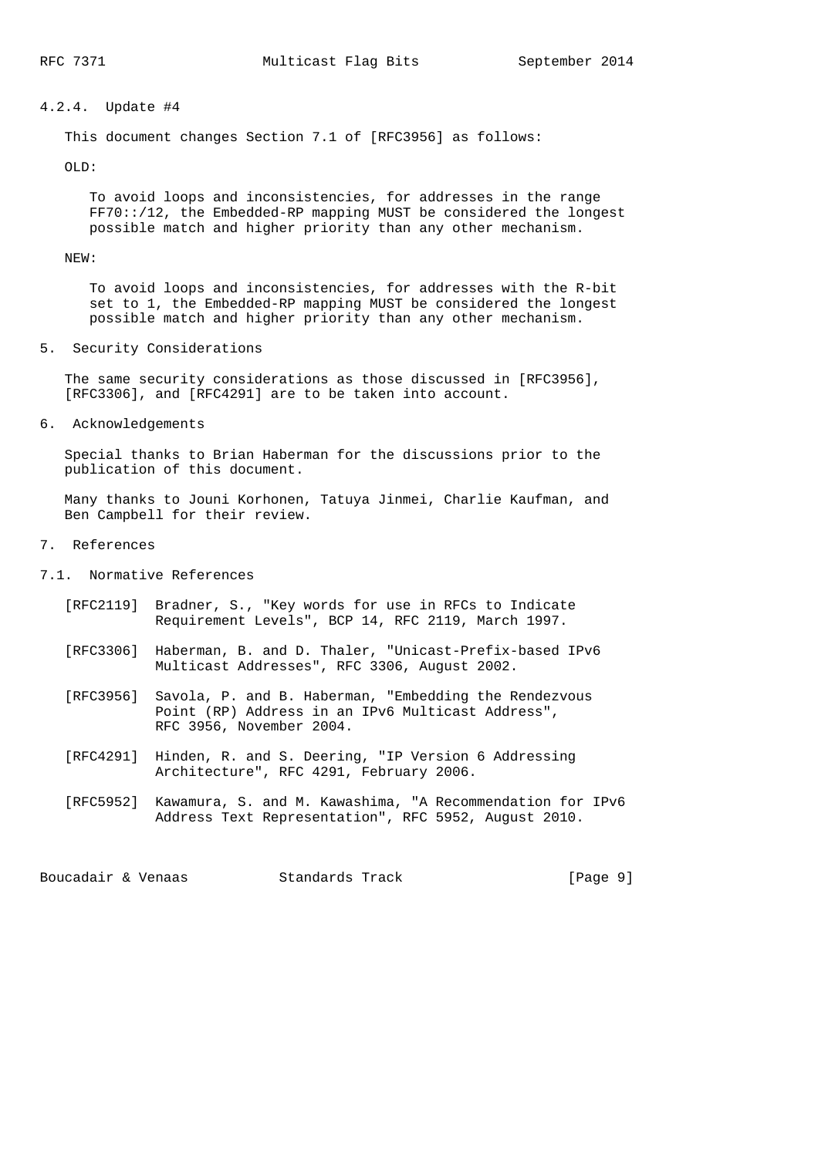### 4.2.4. Update #4

This document changes Section 7.1 of [RFC3956] as follows:

OLD:

 To avoid loops and inconsistencies, for addresses in the range FF70::/12, the Embedded-RP mapping MUST be considered the longest possible match and higher priority than any other mechanism.

### NEW:

 To avoid loops and inconsistencies, for addresses with the R-bit set to 1, the Embedded-RP mapping MUST be considered the longest possible match and higher priority than any other mechanism.

5. Security Considerations

 The same security considerations as those discussed in [RFC3956], [RFC3306], and [RFC4291] are to be taken into account.

6. Acknowledgements

 Special thanks to Brian Haberman for the discussions prior to the publication of this document.

 Many thanks to Jouni Korhonen, Tatuya Jinmei, Charlie Kaufman, and Ben Campbell for their review.

- 7. References
- 7.1. Normative References
	- [RFC2119] Bradner, S., "Key words for use in RFCs to Indicate Requirement Levels", BCP 14, RFC 2119, March 1997.
	- [RFC3306] Haberman, B. and D. Thaler, "Unicast-Prefix-based IPv6 Multicast Addresses", RFC 3306, August 2002.
	- [RFC3956] Savola, P. and B. Haberman, "Embedding the Rendezvous Point (RP) Address in an IPv6 Multicast Address", RFC 3956, November 2004.
	- [RFC4291] Hinden, R. and S. Deering, "IP Version 6 Addressing Architecture", RFC 4291, February 2006.
	- [RFC5952] Kawamura, S. and M. Kawashima, "A Recommendation for IPv6 Address Text Representation", RFC 5952, August 2010.

Boucadair & Venaas Standards Track [Page 9]